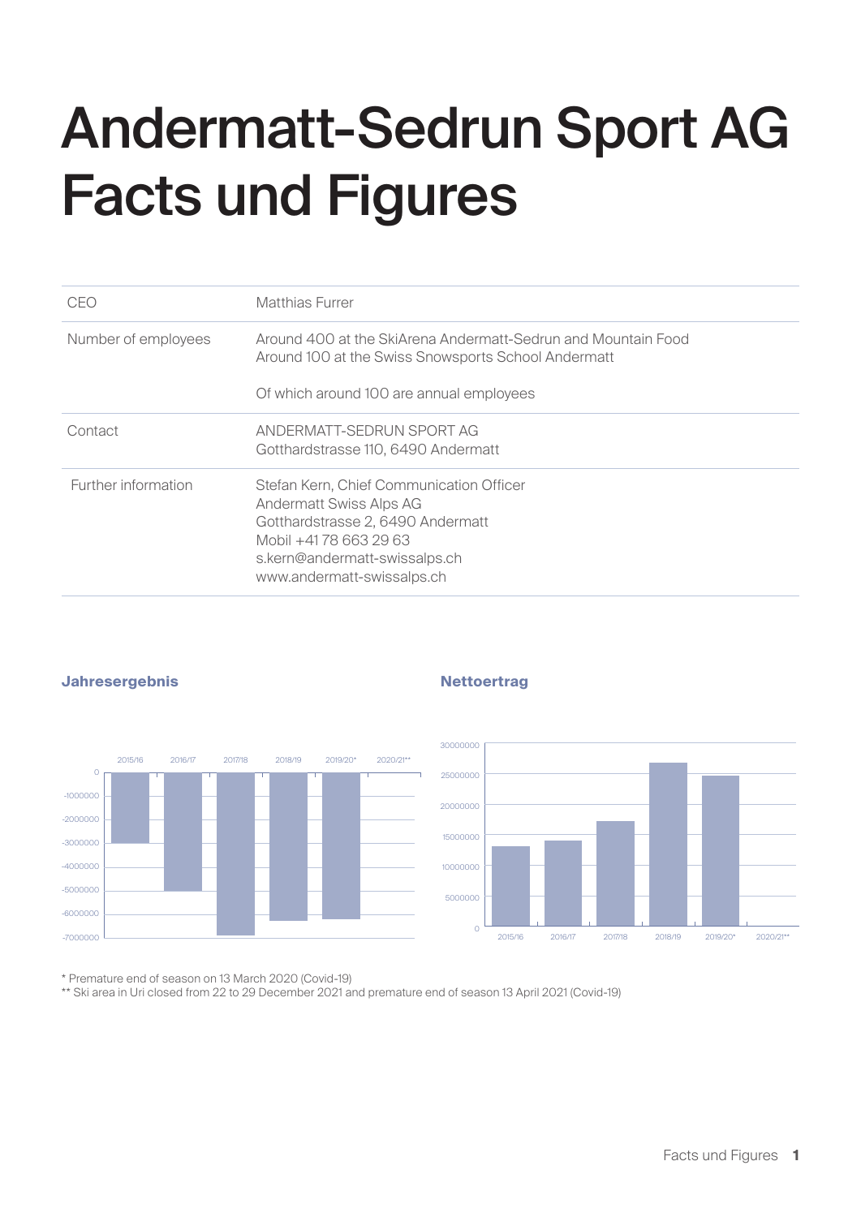# Andermatt-Sedrun Sport AG Facts und Figures

| CEO                 | Matthias Furrer                                                                                                                                                                                         |
|---------------------|---------------------------------------------------------------------------------------------------------------------------------------------------------------------------------------------------------|
| Number of employees | Around 400 at the SkiArena Andermatt-Sedrun and Mountain Food<br>Around 100 at the Swiss Snowsports School Andermatt                                                                                    |
|                     | Of which around 100 are annual employees                                                                                                                                                                |
| Contact             | ANDERMATT-SEDRUN SPORT AG<br>Gotthardstrasse 110, 6490 Andermatt                                                                                                                                        |
| Further information | Stefan Kern, Chief Communication Officer<br><b>Andermatt Swiss Alps AG</b><br>Gotthardstrasse 2, 6490 Andermatt<br>Mobil +4178 663 29 63<br>s.kern@andermatt-swissalps.ch<br>www.andermatt-swissalps.ch |



#### **Jahresergebnis Nettoertrag**



\* Premature end of season on 13 March 2020 (Covid-19)

\*\* Ski area in Uri closed from 22 to 29 December 2021 and premature end of season 13 April 2021 (Covid-19)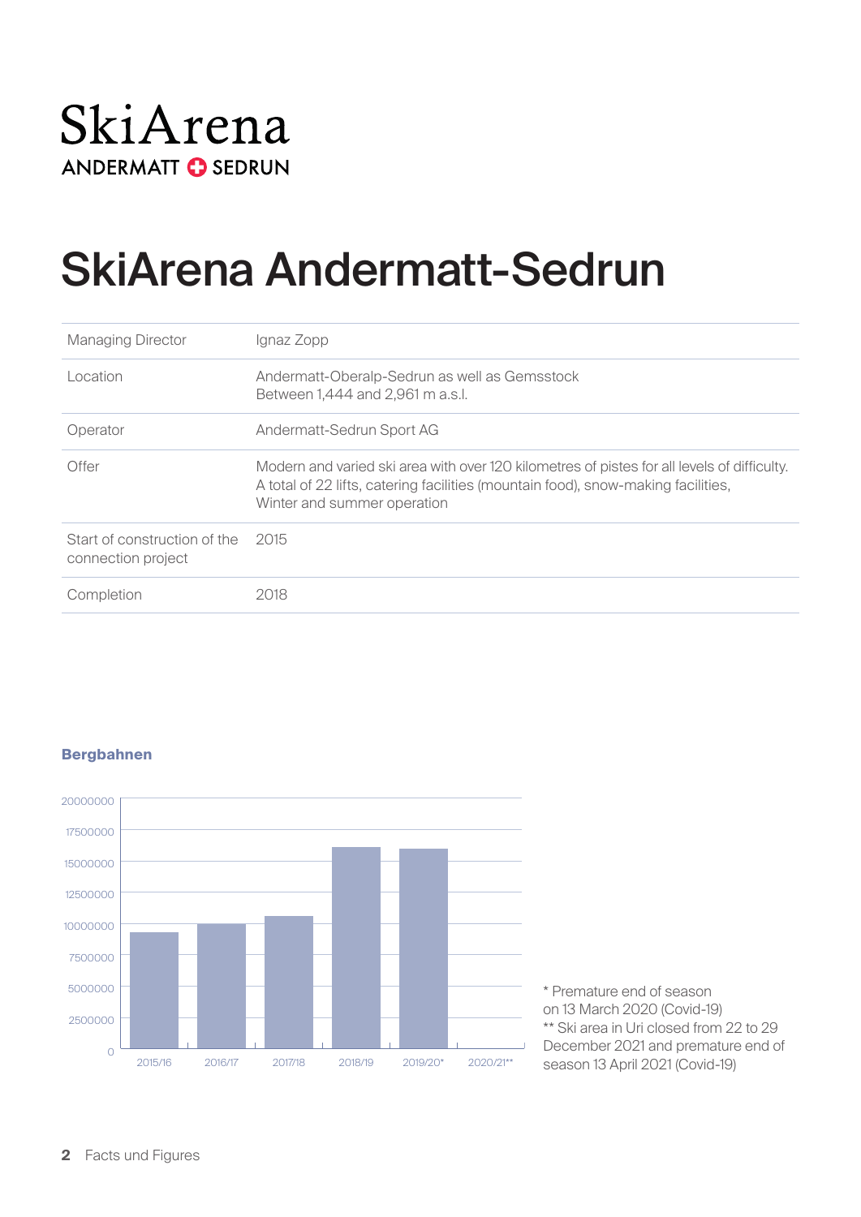### SkiArena **ANDERMATT C SEDRUN**

### SkiArena Andermatt-Sedrun

| <b>Managing Director</b>                           | Ignaz Zopp                                                                                                                                                                                                      |
|----------------------------------------------------|-----------------------------------------------------------------------------------------------------------------------------------------------------------------------------------------------------------------|
| Location                                           | Andermatt-Oberalp-Sedrun as well as Gemsstock<br>Between 1,444 and 2,961 m a.s.l.                                                                                                                               |
| Operator                                           | Andermatt-Sedrun Sport AG                                                                                                                                                                                       |
| Offer                                              | Modern and varied ski area with over 120 kilometres of pistes for all levels of difficulty.<br>A total of 22 lifts, catering facilities (mountain food), snow-making facilities,<br>Winter and summer operation |
| Start of construction of the<br>connection project | - 2015                                                                                                                                                                                                          |
| Completion                                         | 2018                                                                                                                                                                                                            |

### $\overline{O}$ 2500000 5000000 7500000 10000000 12500000 15000000 17500000 20000000 2015/16 2016/17 2017/18 2018/19 2019/20\* 2020/21\*\*

#### **Bergbahnen**

\* Premature end of season on 13 March 2020 (Covid-19) \*\* Ski area in Uri closed from 22 to 29 December 2021 and premature end of season 13 April 2021 (Covid-19)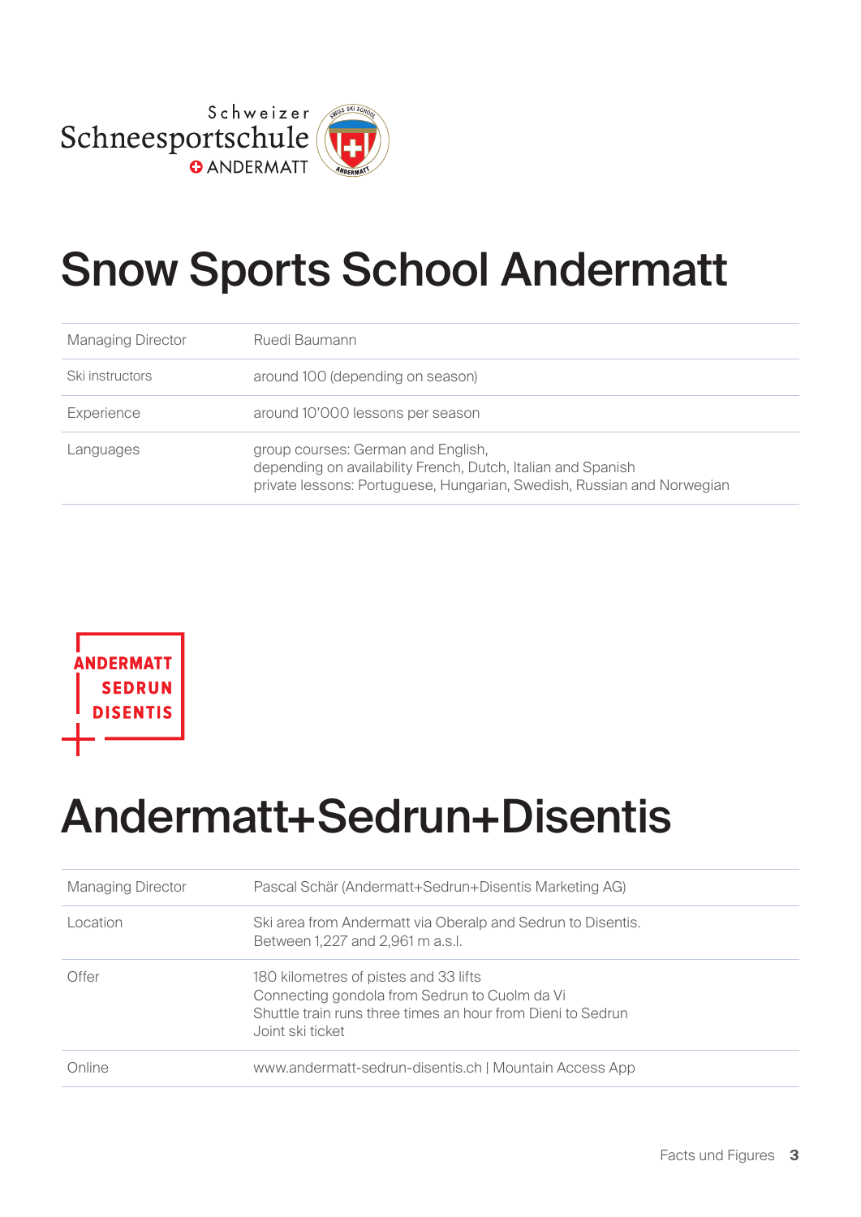

### Snow Sports School Andermatt

| <b>Managing Director</b> | Ruedi Baumann                                                                                                                                                                |
|--------------------------|------------------------------------------------------------------------------------------------------------------------------------------------------------------------------|
| Ski instructors          | around 100 (depending on season)                                                                                                                                             |
| Experience               | around 10'000 lessons per season                                                                                                                                             |
| Languages                | group courses: German and English,<br>depending on availability French, Dutch, Italian and Spanish<br>private lessons: Portuguese, Hungarian, Swedish, Russian and Norwegian |



### Andermatt+Sedrun+Disentis

| <b>Managing Director</b> | Pascal Schär (Andermatt+Sedrun+Disentis Marketing AG)                                                                                                                     |
|--------------------------|---------------------------------------------------------------------------------------------------------------------------------------------------------------------------|
| Location                 | Ski area from Andermatt via Oberalp and Sedrun to Disentis.<br>Between 1,227 and 2,961 m a.s.l.                                                                           |
| Offer                    | 180 kilometres of pistes and 33 lifts<br>Connecting gondola from Sedrun to Cuolm da Vi<br>Shuttle train runs three times an hour from Dieni to Sedrun<br>Joint ski ticket |
| Online                   | www.andermatt-sedrun-disentis.ch   Mountain Access App                                                                                                                    |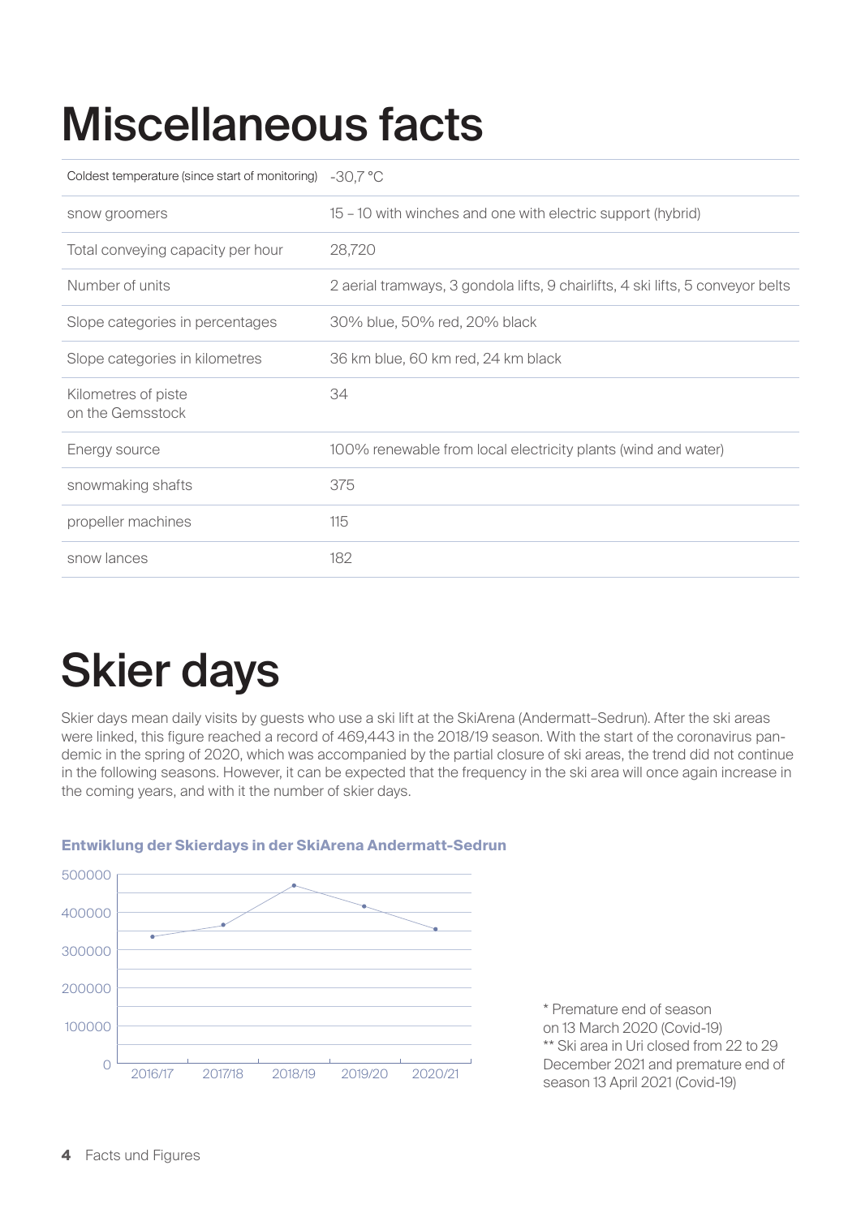### Miscellaneous facts

| Coldest temperature (since start of monitoring) | $-30,7$ °C                                                                      |
|-------------------------------------------------|---------------------------------------------------------------------------------|
| snow groomers                                   | 15 - 10 with winches and one with electric support (hybrid)                     |
| Total conveying capacity per hour               | 28,720                                                                          |
| Number of units                                 | 2 aerial tramways, 3 gondola lifts, 9 chairlifts, 4 ski lifts, 5 conveyor belts |
| Slope categories in percentages                 | 30% blue, 50% red, 20% black                                                    |
| Slope categories in kilometres                  | 36 km blue, 60 km red, 24 km black                                              |
| Kilometres of piste<br>on the Gemsstock         | 34                                                                              |
| Energy source                                   | 100% renewable from local electricity plants (wind and water)                   |
| snowmaking shafts                               | 375                                                                             |
| propeller machines                              | 115                                                                             |
| snow lances                                     | 182                                                                             |

## Skier days

Skier days mean daily visits by guests who use a ski lift at the SkiArena (Andermatt–Sedrun). After the ski areas were linked, this figure reached a record of 469,443 in the 2018/19 season. With the start of the coronavirus pandemic in the spring of 2020, which was accompanied by the partial closure of ski areas, the trend did not continue in the following seasons. However, it can be expected that the frequency in the ski area will once again increase in the coming years, and with it the number of skier days.



#### **Entwiklung der Skierdays in der SkiArena Andermatt-Sedrun**

\* Premature end of season on 13 March 2020 (Covid-19) \*\* Ski area in Uri closed from 22 to 29 December 2021 and premature end of season 13 April 2021 (Covid-19)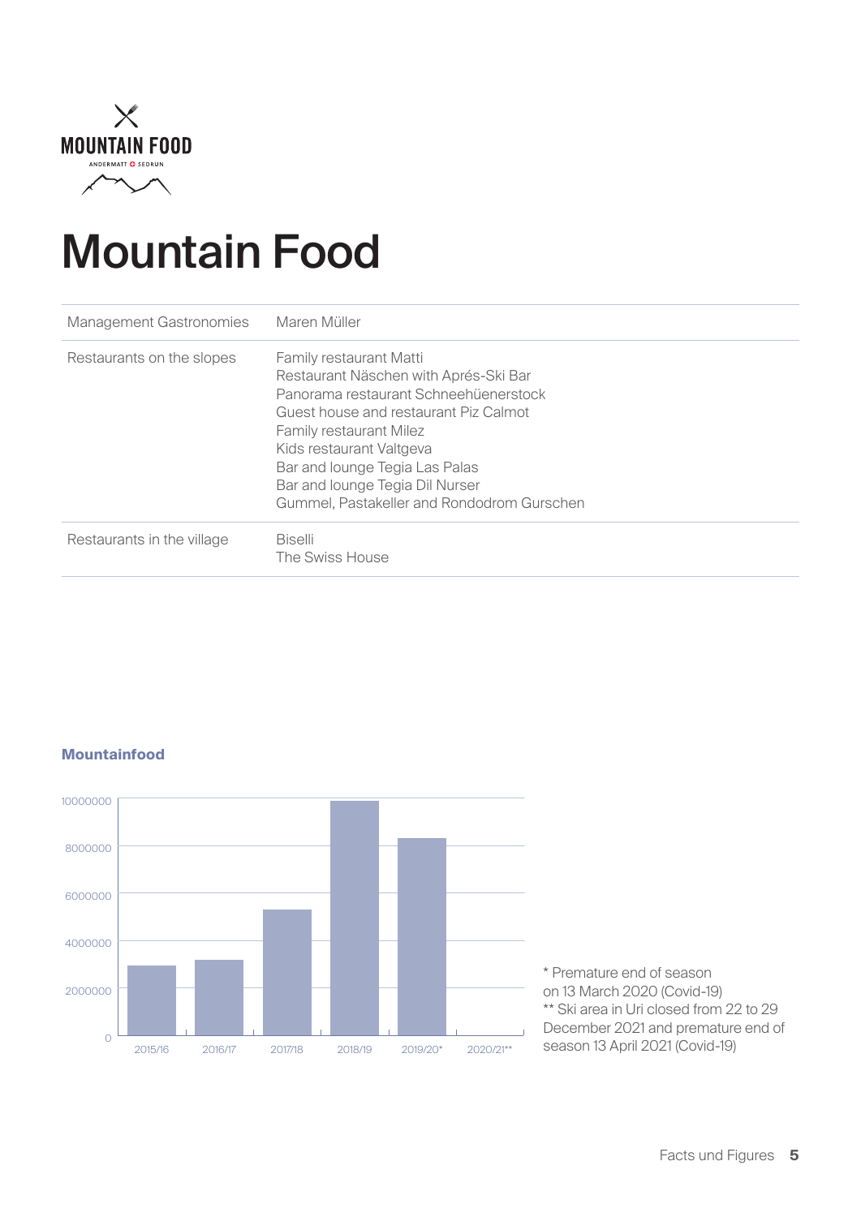

### Mountain Food

| <b>Management Gastronomies</b> | Maren Müller                                                                                                                                                                                                                                                                                                                               |
|--------------------------------|--------------------------------------------------------------------------------------------------------------------------------------------------------------------------------------------------------------------------------------------------------------------------------------------------------------------------------------------|
| Restaurants on the slopes      | <b>Family restaurant Matti</b><br>Restaurant Näschen with Aprés-Ski Bar<br>Panorama restaurant Schneehüenerstock<br>Guest house and restaurant Piz Calmot<br><b>Family restaurant Milez</b><br>Kids restaurant Valtgeva<br>Bar and lounge Tegia Las Palas<br>Bar and lounge Tegia Dil Nurser<br>Gummel, Pastakeller and Rondodrom Gurschen |
| Restaurants in the village     | <b>Biselli</b><br>The Swiss House                                                                                                                                                                                                                                                                                                          |



#### **Mountainfood**

\* Premature end of season on 13 March 2020 (Covid-19) \*\* Ski area in Uri closed from 22 to 29 December 2021 and premature end of season 13 April 2021 (Covid-19)